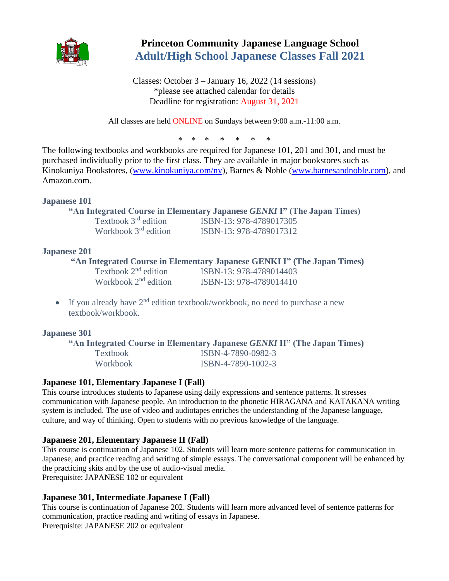

# **Princeton Community Japanese Language School Adult/High School Japanese Classes Fall 2021**

Classes: October 3 – January 16, 2022 (14 sessions) \*please see attached calendar for details Deadline for registration: August 31, 2021

All classes are held ONLINE on Sundays between 9:00 a.m.-11:00 a.m.

\* \* \* \* \* \* \*

The following textbooks and workbooks are required for Japanese 101, 201 and 301, and must be purchased individually prior to the first class. They are available in major bookstores such as Kinokuniya Bookstores, [\(www.kinokuniya.com/ny\)](http://www.kinokuniya.com/ny), Barnes & Noble [\(www.barnesandnoble.com\)](http://www.barnesandnoble.com/), and Amazon.com.

# **Japanese 101**

# **"An Integrated Course in Elementary Japanese** *GENKI* **I" (The Japan Times)**

Textbook  $3<sup>rd</sup>$  edition Workbook 3<sup>rd</sup> edition

ISBN-13: 978-4789017305 ISBN-13: 978-4789017312

# **Japanese 201**

# **"An Integrated Course in Elementary Japanese GENKI I" (The Japan Times)**<br>Textbook 2<sup>nd</sup> edition ISBN-13: 978-4789014403

ISBN-13: 978-4789014403 Workbook 2<sup>nd</sup> edition **ISBN-13: 978-4789014410** 

• If you already have  $2<sup>nd</sup>$  edition textbook/workbook, no need to purchase a new textbook/workbook.

# **Japanese 301**

**"An Integrated Course in Elementary Japanese** *GENKI* **II" (The Japan Times)**

| Textbook | ISBN-4-7890-0982-3 |
|----------|--------------------|
| Workbook | ISBN-4-7890-1002-3 |

# **Japanese 101, Elementary Japanese I (Fall)**

This course introduces students to Japanese using daily expressions and sentence patterns. It stresses communication with Japanese people. An introduction to the phonetic HIRAGANA and KATAKANA writing system is included. The use of video and audiotapes enriches the understanding of the Japanese language, culture, and way of thinking. Open to students with no previous knowledge of the language.

# **Japanese 201, Elementary Japanese II (Fall)**

This course is continuation of Japanese 102. Students will learn more sentence patterns for communication in Japanese, and practice reading and writing of simple essays. The conversational component will be enhanced by the practicing skits and by the use of audio-visual media. Prerequisite: JAPANESE 102 or equivalent

#### **Japanese 301, Intermediate Japanese I (Fall)**

This course is continuation of Japanese 202. Students will learn more advanced level of sentence patterns for communication, practice reading and writing of essays in Japanese. Prerequisite: JAPANESE 202 or equivalent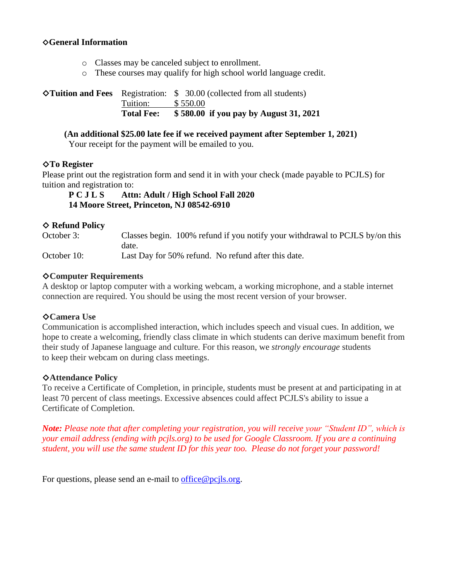#### ◇**General Information**

- o Classes may be canceled subject to enrollment.
- o These courses may qualify for high school world language credit.

◇**Tuition and Fees** Registration: \$ 30.00 (collected from all students) Tuition: \$ 550.00 **Total Fee: \$ 580.00 if you pay by August 31, 2021**

#### **(An additional \$25.00 late fee if we received payment after September 1, 2021)**

Your receipt for the payment will be emailed to you.

#### ◇**To Register**

Please print out the registration form and send it in with your check (made payable to PCJLS) for tuition and registration to:

**P C J L S Attn: Adult / High School Fall 2020 14 Moore Street, Princeton, NJ 08542-6910**

#### ◇ **Refund Policy**

October 3: Classes begin. 100% refund if you notify your withdrawal to PCJLS by/on this date. October 10: Last Day for 50% refund. No refund after this date.

#### ◇**Computer Requirements**

A desktop or laptop computer with a working webcam, a working microphone, and a stable internet connection are required. You should be using the most recent version of your browser.

#### ◇**Camera Use**

Communication is accomplished interaction, which includes speech and visual cues. In addition, we hope to create a welcoming, friendly class climate in which students can derive maximum benefit from their study of Japanese language and culture. For this reason, we *strongly encourage* students to keep their webcam on during class meetings.

#### ◇**Attendance Policy**

To receive a Certificate of Completion, in principle, students must be present at and participating in at least 70 percent of class meetings. Excessive absences could affect PCJLS's ability to issue a Certificate of Completion.

*Note: Please note that after completing your registration, you will receive your "Student ID", which is your email address (ending with pcjls.org) to be used for Google Classroom. If you are a continuing student, you will use the same student ID for this year too. Please do not forget your password!*

For questions, please send an e-mail to [office@pcjls.org.](mailto:office@pcjls.org)